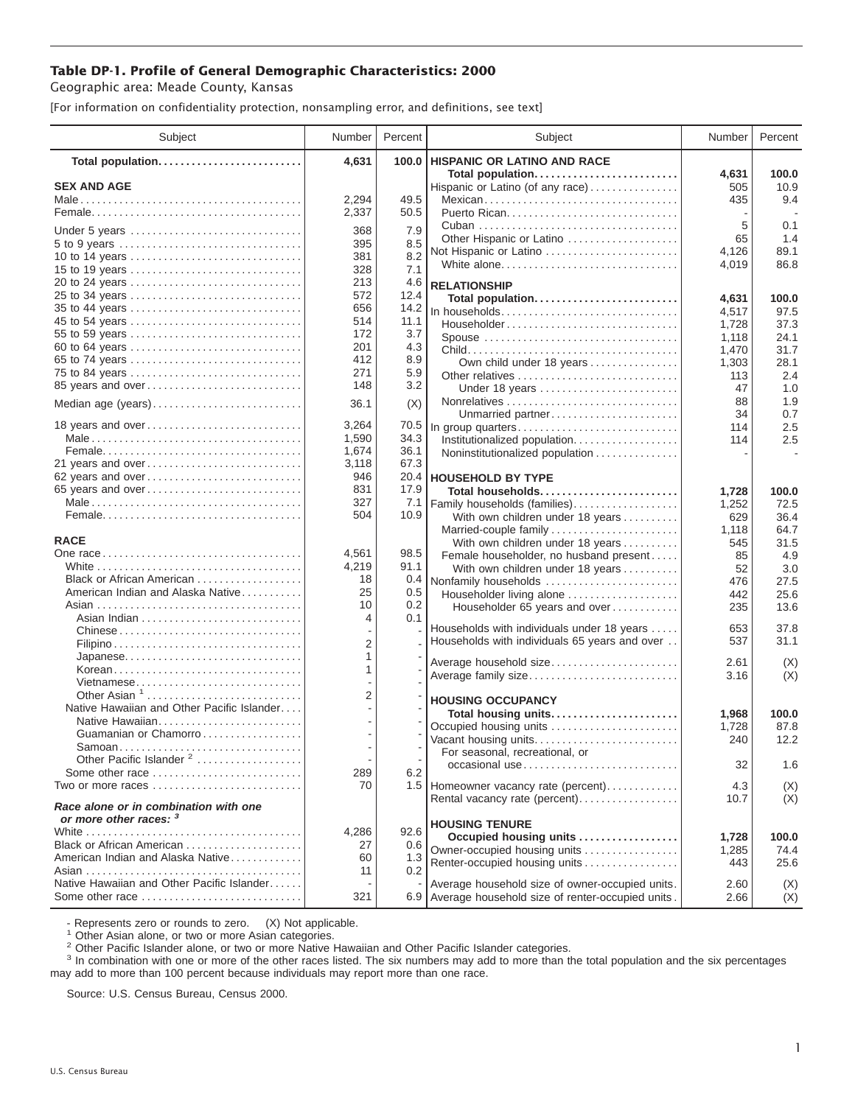## **Table DP-1. Profile of General Demographic Characteristics: 2000**

Geographic area: Meade County, Kansas

[For information on confidentiality protection, nonsampling error, and definitions, see text]

| Subject                                                          | Number     | Percent    | Subject                                                                         | Number         | Percent       |
|------------------------------------------------------------------|------------|------------|---------------------------------------------------------------------------------|----------------|---------------|
| Total population                                                 | 4,631      | 100.0      | <b>HISPANIC OR LATINO AND RACE</b>                                              |                |               |
| <b>SEX AND AGE</b>                                               |            |            | Total population<br>Hispanic or Latino (of any race)                            | 4,631<br>505   | 100.0<br>10.9 |
|                                                                  | 2,294      | 49.5       | Mexican                                                                         | 435            | 9.4           |
|                                                                  | 2,337      | 50.5       |                                                                                 |                |               |
| Under 5 years                                                    | 368        | 7.9        |                                                                                 | 5              | 0.1           |
|                                                                  | 395        | 8.5        | Other Hispanic or Latino                                                        | 65             | 1.4           |
| 10 to 14 years                                                   | 381        | 8.2        | Not Hispanic or Latino                                                          | 4,126          | 89.1          |
| 15 to 19 years                                                   | 328        | 7.1        | White alone                                                                     | 4,019          | 86.8          |
|                                                                  | 213        | 4.6        | <b>RELATIONSHIP</b>                                                             |                |               |
| 25 to 34 years                                                   | 572        | 12.4       | Total population                                                                | 4,631          | 100.0         |
| 35 to 44 years                                                   | 656        | 14.2       | In households                                                                   | 4,517          | 97.5          |
| 45 to 54 years                                                   | 514        | 11.1       | $Householder \dots \dots \dots \dots \dots \dots \dots \dots \dots \dots \dots$ | 1,728          | 37.3          |
| 55 to 59 years                                                   | 172        | 3.7        | Spouse                                                                          | 1,118          | 24.1          |
| 60 to 64 years                                                   | 201        | 4.3        |                                                                                 | 1,470          | 31.7          |
| 65 to 74 years                                                   | 412<br>271 | 8.9<br>5.9 | Own child under 18 years                                                        | 1,303          | 28.1          |
| 75 to 84 years<br>85 years and over                              | 148        | 3.2        |                                                                                 | 113            | 2.4           |
|                                                                  |            |            | Under 18 years                                                                  | 47<br>88       | 1.0<br>1.9    |
| Median age (years)                                               | 36.1       | (X)        | Unmarried partner                                                               | 34             | 0.7           |
| 18 years and over                                                | 3,264      | 70.5       | In group quarters                                                               | 114            | 2.5           |
|                                                                  | 1,590      | 34.3       | Institutionalized population.                                                   | 114            | 2.5           |
|                                                                  | 1,674      | 36.1       | Noninstitutionalized population                                                 |                |               |
| 21 years and over                                                | 3,118      | 67.3       |                                                                                 |                |               |
| 62 years and over                                                | 946        | 20.4       | <b>HOUSEHOLD BY TYPE</b>                                                        |                |               |
| 65 years and over                                                | 831        | 17.9       | Total households                                                                | 1,728          | 100.0         |
|                                                                  | 327        | 7.1        | Family households (families)                                                    | 1,252          | 72.5          |
|                                                                  | 504        | 10.9       | With own children under 18 years                                                | 629            | 36.4          |
| <b>RACE</b>                                                      |            |            | Married-couple family                                                           | 1,118          | 64.7          |
|                                                                  | 4,561      | 98.5       | With own children under 18 years                                                | 545<br>85      | 31.5<br>4.9   |
|                                                                  | 4,219      | 91.1       | Female householder, no husband present<br>With own children under 18 years      | 52             | 3.0           |
| Black or African American                                        | 18         | 0.4        | Nonfamily households                                                            | 476            | 27.5          |
| American Indian and Alaska Native                                | 25         | 0.5        | Householder living alone                                                        | 442            | 25.6          |
|                                                                  | 10         | 0.2        | Householder 65 years and over                                                   | 235            | 13.6          |
|                                                                  | 4          | 0.1        |                                                                                 |                |               |
| Chinese                                                          |            |            | Households with individuals under 18 years                                      | 653            | 37.8          |
|                                                                  | 2          |            | Households with individuals 65 years and over                                   | 537            | 31.1          |
| Japanese                                                         | 1<br>1     |            | Average household size                                                          | 2.61           | (X)           |
| Korean<br>Vietnamese                                             |            |            | Average family size                                                             | 3.16           | (X)           |
| Other Asian $1, \ldots, \ldots, \ldots, \ldots, \ldots, \ldots$  | 2          |            |                                                                                 |                |               |
| Native Hawaiian and Other Pacific Islander                       |            |            | <b>HOUSING OCCUPANCY</b>                                                        |                |               |
|                                                                  |            |            | Total housing units                                                             | 1,968          | 100.0         |
| Guamanian or Chamorro                                            |            |            | Occupied housing units<br>Vacant housing units                                  | 1,728<br>240   | 87.8<br>12.2  |
| Samoan                                                           |            |            | For seasonal, recreational, or                                                  |                |               |
| Other Pacific Islander <sup>2</sup>                              |            |            | occasional use                                                                  | 32             | 1.6           |
| Some other race $\ldots, \ldots, \ldots, \ldots, \ldots, \ldots$ | 289        | 6.2        |                                                                                 |                |               |
| Two or more races                                                | 70         |            | 1.5 Homeowner vacancy rate (percent)                                            | 4.3            | (X)           |
| Race alone or in combination with one<br>or more other races: 3  |            |            | Rental vacancy rate (percent)                                                   | 10.7           | (X)           |
|                                                                  | 4,286      | 92.6       | <b>HOUSING TENURE</b>                                                           |                |               |
| Black or African American                                        | 27         | 0.6        | Occupied housing units<br>Owner-occupied housing units                          | 1,728<br>1,285 | 100.0<br>74.4 |
| American Indian and Alaska Native                                | 60         | 1.3        | Renter-occupied housing units                                                   | 443            | 25.6          |
|                                                                  | 11         | 0.2        |                                                                                 |                |               |
| Native Hawaiian and Other Pacific Islander                       |            |            | Average household size of owner-occupied units.                                 | 2.60           | (X)           |
| Some other race                                                  | 321        |            | 6.9 Average household size of renter-occupied units.                            | 2.66           | (X)           |

- Represents zero or rounds to zero. (X) Not applicable.<br><sup>1</sup> Other Asian alone, or two or more Asian categories.

<sup>2</sup> Other Pacific Islander alone, or two or more Native Hawaiian and Other Pacific Islander categories.<br><sup>3</sup> In combination with one or more of the other races listed. The six numbers may add to more than the total populati may add to more than 100 percent because individuals may report more than one race.

Source: U.S. Census Bureau, Census 2000.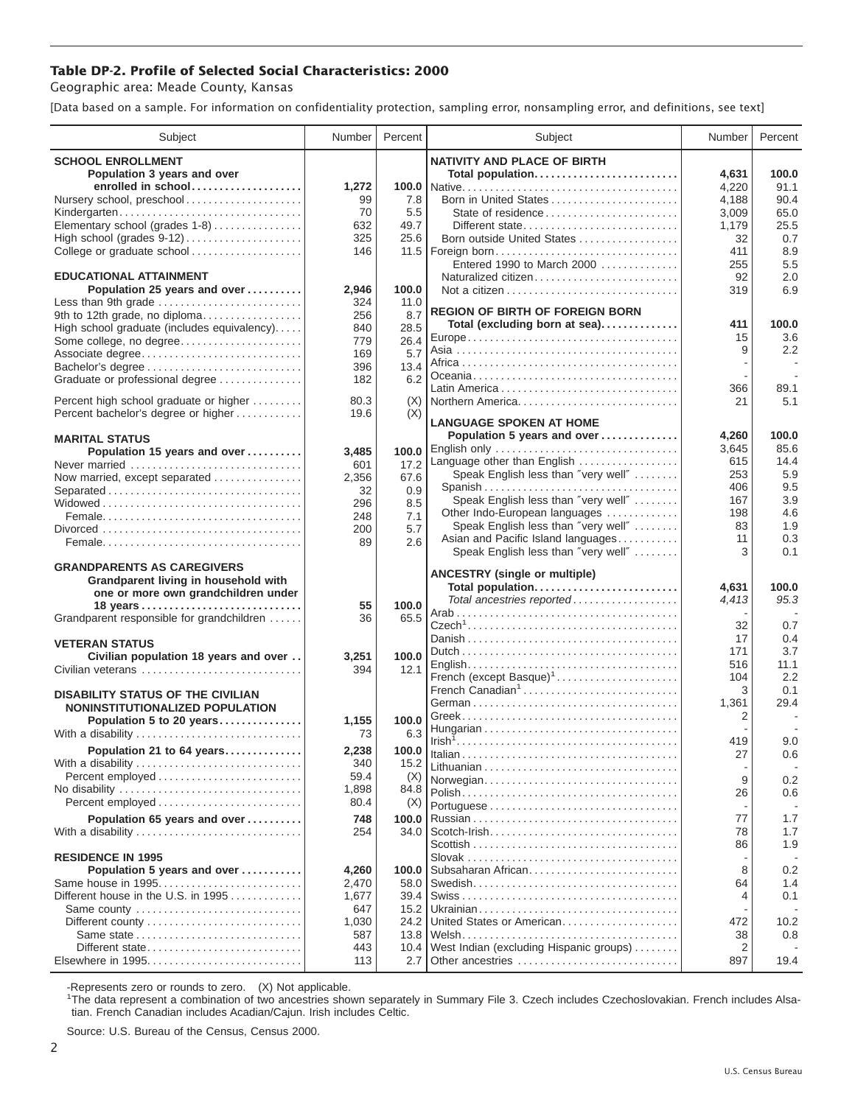## **Table DP-2. Profile of Selected Social Characteristics: 2000**

Geographic area: Meade County, Kansas

[Data based on a sample. For information on confidentiality protection, sampling error, nonsampling error, and definitions, see text]

| Subject                                     | Number       | Percent      | Subject                                                              | Number         | Percent     |
|---------------------------------------------|--------------|--------------|----------------------------------------------------------------------|----------------|-------------|
| <b>SCHOOL ENROLLMENT</b>                    |              |              | <b>NATIVITY AND PLACE OF BIRTH</b>                                   |                |             |
| Population 3 years and over                 |              |              | Total population                                                     | 4,631          | 100.0       |
| enrolled in school                          | 1,272        | 100.0        |                                                                      | 4,220          | 91.1        |
| Nursery school, preschool                   | 99           | 7.8          | Born in United States                                                | 4,188          | 90.4        |
| Kindergarten                                | 70           | 5.5          | State of residence                                                   | 3,009          | 65.0        |
| Elementary school (grades 1-8)              | 632          | 49.7         | Different state                                                      | 1,179          | 25.5        |
| High school (grades 9-12)                   | 325          | 25.6         | Born outside United States                                           | 32             | 0.7         |
| College or graduate school                  | 146          |              |                                                                      | 411            | 8.9         |
| <b>EDUCATIONAL ATTAINMENT</b>               |              |              | Entered 1990 to March 2000                                           | 255            | 5.5         |
| Population 25 years and over                | 2,946        | 100.0        | Naturalized citizen                                                  | 92<br>319      | 2.0<br>6.9  |
| Less than 9th grade                         | 324          | 11.0         |                                                                      |                |             |
| 9th to 12th grade, no diploma               | 256          | 8.7          | <b>REGION OF BIRTH OF FOREIGN BORN</b>                               |                |             |
| High school graduate (includes equivalency) | 840          | 28.5         | Total (excluding born at sea)                                        | 411            | 100.0       |
| Some college, no degree                     | 779          | 26.4         |                                                                      | 15             | 3.6         |
| Associate degree                            | 169          | 5.7          |                                                                      | 9              | 2.2         |
| Bachelor's degree                           | 396          | 13.4         |                                                                      |                |             |
| Graduate or professional degree             | 182          | 6.2          |                                                                      |                |             |
| Percent high school graduate or higher      | 80.3         | (X)          | Northern America                                                     | 366<br>21      | 89.1<br>5.1 |
| Percent bachelor's degree or higher         | 19.6         | (X)          |                                                                      |                |             |
|                                             |              |              | <b>LANGUAGE SPOKEN AT HOME</b>                                       |                |             |
| <b>MARITAL STATUS</b>                       |              |              | Population 5 years and over                                          | 4,260          | 100.0       |
| Population 15 years and over                | 3,485        | 100.0        | English only                                                         | 3,645          | 85.6        |
| Never married                               | 601          | 17.2         | Language other than English                                          | 615            | 14.4        |
| Now married, except separated               | 2,356        | 67.6         | Speak English less than "very well"                                  | 253            | 5.9         |
| Separated                                   | 32           | 0.9          | Spanish                                                              | 406            | 9.5<br>3.9  |
|                                             | 296          | 8.5          | Speak English less than "very well"<br>Other Indo-European languages | 167<br>198     | 4.6         |
|                                             | 248          | 7.1          | Speak English less than "very well"                                  | 83             | 1.9         |
|                                             | 200          | 5.7          | Asian and Pacific Island languages                                   | 11             | 0.3         |
|                                             | 89           | 2.6          | Speak English less than "very well"                                  | 3              | 0.1         |
| <b>GRANDPARENTS AS CAREGIVERS</b>           |              |              |                                                                      |                |             |
| Grandparent living in household with        |              |              | <b>ANCESTRY (single or multiple)</b>                                 |                |             |
| one or more own grandchildren under         |              |              | Total population                                                     | 4,631          | 100.0       |
| 18 years                                    | 55           | 100.0        | Total ancestries reported                                            | 4,413          | 95.3        |
| Grandparent responsible for grandchildren   | 36           | 65.5         |                                                                      | 32             | 0.7         |
|                                             |              |              |                                                                      | 17             | 0.4         |
| <b>VETERAN STATUS</b>                       |              |              |                                                                      | 171            | 3.7         |
| Civilian population 18 years and over       | 3,251        | 100.0        |                                                                      | 516            | 11.1        |
| Civilian veterans                           | 394          | 12.1         | French (except Basque) <sup>1</sup>                                  | 104            | 2.2         |
| <b>DISABILITY STATUS OF THE CIVILIAN</b>    |              |              | French Canadian <sup>1</sup>                                         | 3              | 0.1         |
| NONINSTITUTIONALIZED POPULATION             |              |              |                                                                      | 1,361          | 29.4        |
| Population 5 to 20 years                    | 1,155        | 100.0        |                                                                      | 2              |             |
| With a disability                           | 73           | 6.3          |                                                                      |                |             |
| Population 21 to 64 years                   | 2,238        | 100.0        |                                                                      | 419            | 9.0         |
| With a disability                           | 340          | 15.2         |                                                                      | 27             | 0.6         |
|                                             | 59.4         | (X)          | Norwegian                                                            | 9              | 0.2         |
| No disability                               | 1,898        | 84.8         |                                                                      | 26             | 0.6         |
|                                             | 80.4         | (X)          |                                                                      |                |             |
| Population 65 years and over                | 748          | 100.0        |                                                                      | 77             | 1.7         |
| With a disability                           | 254          | 34.0         |                                                                      | 78             | 1.7         |
|                                             |              |              |                                                                      | 86             | 1.9         |
| <b>RESIDENCE IN 1995</b>                    |              |              |                                                                      |                |             |
| Population 5 years and over                 | 4,260        | 100.0        | Subsaharan African                                                   | 8              | 0.2         |
| Same house in 1995                          | 2,470        | 58.0         |                                                                      | 64             | 1.4         |
| Different house in the U.S. in 1995         | 1,677        | 39.4         |                                                                      | 4              | 0.1         |
| Same county                                 | 647          | 15.2         | United States or American                                            | 472            |             |
| Different county<br>Same state              | 1,030<br>587 | 24.2<br>13.8 |                                                                      | 38             | 10.2<br>0.8 |
| Different state                             | 443          | 10.4         | West Indian (excluding Hispanic groups)                              | $\overline{2}$ |             |
| Elsewhere in 1995                           | 113          | 2.7          | Other ancestries                                                     | 897            | 19.4        |
|                                             |              |              |                                                                      |                |             |

-Represents zero or rounds to zero. (X) Not applicable. 1 The data represent a combination of two ancestries shown separately in Summary File 3. Czech includes Czechoslovakian. French includes Alsatian. French Canadian includes Acadian/Cajun. Irish includes Celtic.

Source: U.S. Bureau of the Census, Census 2000.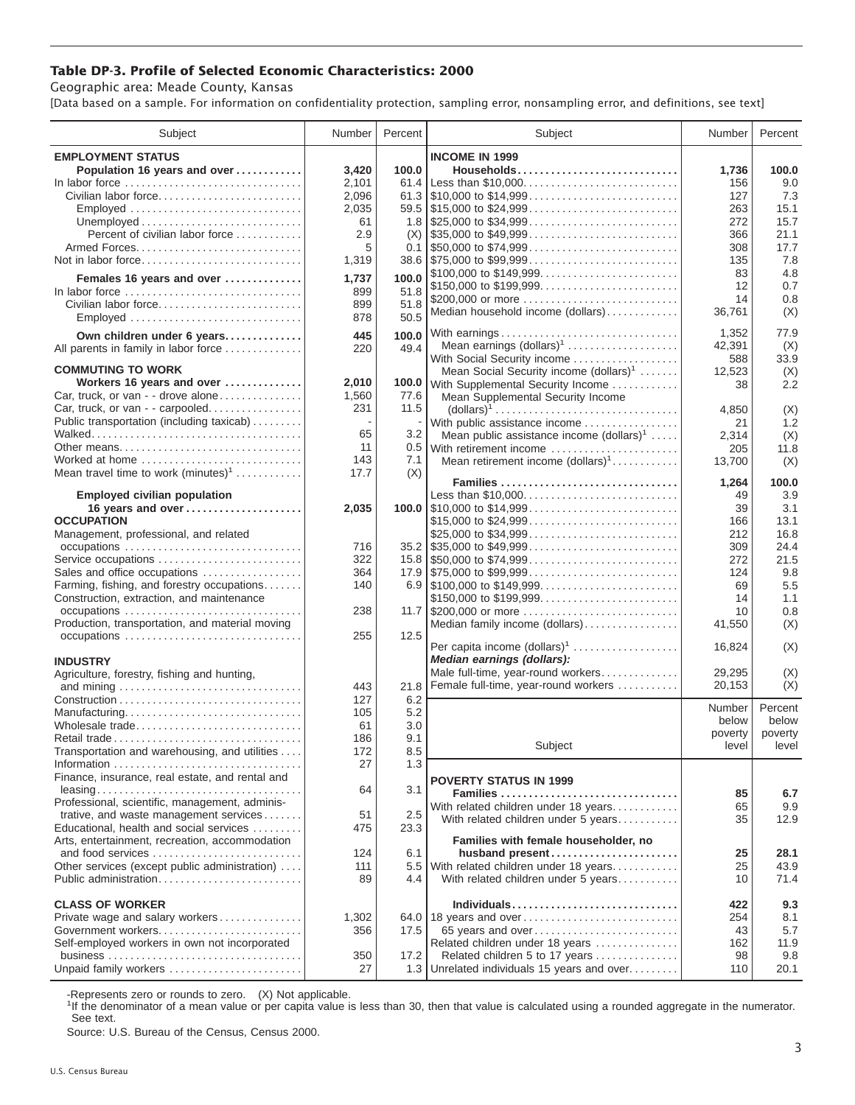## **Table DP-3. Profile of Selected Economic Characteristics: 2000**

Geographic area: Meade County, Kansas

[Data based on a sample. For information on confidentiality protection, sampling error, nonsampling error, and definitions, see text]

| Subject                                                                                  | Number       | Percent      | Subject                                                                                | Number       | Percent      |
|------------------------------------------------------------------------------------------|--------------|--------------|----------------------------------------------------------------------------------------|--------------|--------------|
| <b>EMPLOYMENT STATUS</b>                                                                 |              |              | <b>INCOME IN 1999</b>                                                                  |              |              |
| Population 16 years and over                                                             | 3,420        | 100.0        | Households                                                                             | 1,736        | 100.0        |
| In labor force                                                                           | 2,101        | 61.4         |                                                                                        | 156          | 9.0          |
| Civilian labor force                                                                     | 2,096        |              |                                                                                        | 127          | 7.3          |
| Employed                                                                                 | 2,035        |              |                                                                                        | 263          | 15.1         |
|                                                                                          | 61           |              |                                                                                        | 272          | 15.7         |
| Percent of civilian labor force                                                          | 2.9          | (X)          | $\frac{1}{2}$ \$35,000 to \$49,999                                                     | 366          | 21.1         |
|                                                                                          | 5            |              |                                                                                        | 308          | 17.7         |
| Not in labor force                                                                       | 1,319        |              | 38.6 \$75,000 to \$99,999                                                              | 135          | 7.8          |
| Females 16 years and over                                                                | 1,737        | 100.0        | \$100,000 to \$149,999                                                                 | 83           | 4.8          |
| In labor force $\dots\dots\dots\dots\dots\dots\dots\dots\dots\dots\dots\dots$            | 899          | 51.8         | \$150,000 to \$199,999                                                                 | 12           | 0.7          |
| Civilian labor force                                                                     | 899          | 51.8         | \$200,000 or more<br>Median household income (dollars)                                 | 14<br>36,761 | 0.8          |
|                                                                                          | 878          | 50.5         |                                                                                        |              | (X)          |
| Own children under 6 years                                                               | 445          | 100.0        | With earnings                                                                          | 1,352        | 77.9         |
| All parents in family in labor force                                                     | 220          | 49.4         | Mean earnings (dollars) <sup>1</sup>                                                   | 42,391       | (X)          |
|                                                                                          |              |              | With Social Security income                                                            | 588          | 33.9         |
| <b>COMMUTING TO WORK</b>                                                                 |              |              | Mean Social Security income (dollars) <sup>1</sup>                                     | 12,523       | (X)          |
| Workers 16 years and over<br>Car, truck, or van - - drove alone                          | 2,010        | 100.0        | With Supplemental Security Income                                                      | 38           | 2.2          |
| Car, truck, or van - - carpooled                                                         | 1,560<br>231 | 77.6<br>11.5 | Mean Supplemental Security Income                                                      |              |              |
| Public transportation (including taxicab)                                                |              |              | $\text{(dollars)}^1 \dots \dots \dots \dots \dots \dots \dots \dots \dots \dots \dots$ | 4,850        | (X)<br>1.2   |
|                                                                                          | 65           | 3.2          | With public assistance income<br>Mean public assistance income $(dollars)1 \ldots$ .   | 21<br>2,314  | (X)          |
| Other means                                                                              | 11           |              | 0.5 With retirement income                                                             | 205          | 11.8         |
| Worked at home                                                                           | 143          | 7.1          | Mean retirement income $(dollars)1$                                                    | 13,700       | (X)          |
| Mean travel time to work $(minutes)^1$                                                   | 17.7         | (X)          |                                                                                        |              |              |
|                                                                                          |              |              | Families                                                                               | 1,264        | 100.0        |
| <b>Employed civilian population</b>                                                      |              |              | Less than \$10,000                                                                     | 49           | 3.9          |
| 16 years and over                                                                        | 2,035        |              | 100.0 $\mid$ \$10,000 to \$14,999<br>\$15,000 to \$24,999                              | 39           | 3.1          |
| <b>OCCUPATION</b><br>Management, professional, and related                               |              |              | \$25,000 to \$34,999                                                                   | 166<br>212   | 13.1<br>16.8 |
|                                                                                          | 716          |              | $35.2$ \ \$35,000 to \$49,999                                                          | 309          | 24.4         |
| Service occupations                                                                      | 322          |              |                                                                                        | 272          | 21.5         |
| Sales and office occupations                                                             | 364          |              |                                                                                        | 124          | 9.8          |
| Farming, fishing, and forestry occupations                                               | 140          |              |                                                                                        | 69           | 5.5          |
| Construction, extraction, and maintenance                                                |              |              | \$150,000 to \$199,999                                                                 | 14           | 1.1          |
| occupations                                                                              | 238          |              |                                                                                        | 10           | 0.8          |
| Production, transportation, and material moving                                          |              |              | Median family income (dollars)                                                         | 41,550       | (X)          |
|                                                                                          | 255          | 12.5         |                                                                                        |              |              |
|                                                                                          |              |              | Per capita income (dollars) <sup>1</sup><br>Median earnings (dollars):                 | 16,824       | (X)          |
| <b>INDUSTRY</b>                                                                          |              |              | Male full-time, year-round workers                                                     | 29,295       | (X)          |
| Agriculture, forestry, fishing and hunting,                                              | 443          | 21.8         | Female full-time, year-round workers                                                   | 20,153       | (X)          |
|                                                                                          | 127          | 6.2          |                                                                                        |              |              |
| Manufacturing                                                                            | 105          | 5.2          |                                                                                        | Number       | Percent      |
| Wholesale trade                                                                          | 61           | 3.0          |                                                                                        | below        | below        |
| Retail trade                                                                             | 186          | 9.1          |                                                                                        | poverty      | poverty      |
| Transportation and warehousing, and utilities                                            | 172          | 8.5          | Subject                                                                                | level        | level        |
|                                                                                          | 27           | 1.3          |                                                                                        |              |              |
| Finance, insurance, real estate, and rental and                                          |              |              | <b>POVERTY STATUS IN 1999</b>                                                          |              |              |
|                                                                                          | 64           | 3.1          | Families                                                                               | 85           | 6.7          |
| Professional, scientific, management, adminis-<br>trative, and waste management services | 51           | 2.5          | With related children under 18 years                                                   | 65           | 9.9          |
| Educational, health and social services                                                  | 475          | 23.3         | With related children under 5 years                                                    | 35           | 12.9         |
| Arts, entertainment, recreation, accommodation                                           |              |              | Families with female householder, no                                                   |              |              |
| and food services                                                                        | 124          | 6.1          | husband present                                                                        | 25           | 28.1         |
| Other services (except public administration)                                            | 111          |              | 5.5 With related children under 18 years                                               | 25           | 43.9         |
| Public administration                                                                    | 89           | 4.4          | With related children under 5 years                                                    | 10           | 71.4         |
|                                                                                          |              |              |                                                                                        |              |              |
| <b>CLASS OF WORKER</b>                                                                   |              |              | Individuals                                                                            | 422          | 9.3          |
| Private wage and salary workers<br>Government workers                                    | 1,302<br>356 | 17.5         | 64.0 18 years and over<br>65 years and over                                            | 254<br>43    | 8.1<br>5.7   |
| Self-employed workers in own not incorporated                                            |              |              | Related children under 18 years                                                        | 162          | 11.9         |
|                                                                                          | 350          | 17.2         | Related children 5 to 17 years                                                         | 98           | 9.8          |
| Unpaid family workers                                                                    | 27           |              | 1.3 Unrelated individuals 15 years and over                                            | 110          | 20.1         |

-Represents zero or rounds to zero. (X) Not applicable.

<sup>1</sup>If the denominator of a mean value or per capita value is less than 30, then that value is calculated using a rounded aggregate in the numerator. See text.

Source: U.S. Bureau of the Census, Census 2000.